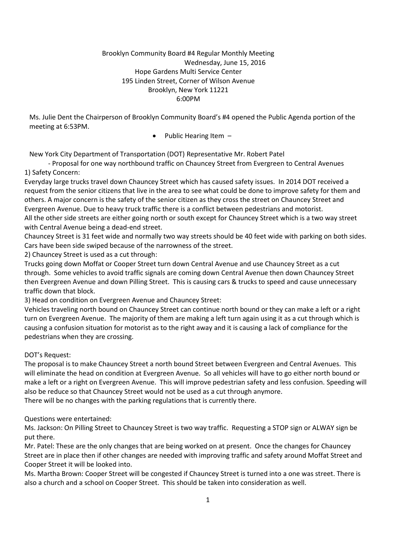### Brooklyn Community Board #4 Regular Monthly Meeting Wednesday, June 15, 2016 Hope Gardens Multi Service Center 195 Linden Street, Corner of Wilson Avenue Brooklyn, New York 11221 6:00PM

Ms. Julie Dent the Chairperson of Brooklyn Community Board's #4 opened the Public Agenda portion of the meeting at 6:53PM.

• Public Hearing Item  $-$ 

New York City Department of Transportation (DOT) Representative Mr. Robert Patel

 - Proposal for one way northbound traffic on Chauncey Street from Evergreen to Central Avenues 1) Safety Concern:

Everyday large trucks travel down Chauncey Street which has caused safety issues. In 2014 DOT received a request from the senior citizens that live in the area to see what could be done to improve safety for them and others. A major concern is the safety of the senior citizen as they cross the street on Chauncey Street and Evergreen Avenue. Due to heavy truck traffic there is a conflict between pedestrians and motorist. All the other side streets are either going north or south except for Chauncey Street which is a two way street with Central Avenue being a dead-end street.

Chauncey Street is 31 feet wide and normally two way streets should be 40 feet wide with parking on both sides. Cars have been side swiped because of the narrowness of the street.

2) Chauncey Street is used as a cut through:

Trucks going down Moffat or Cooper Street turn down Central Avenue and use Chauncey Street as a cut through. Some vehicles to avoid traffic signals are coming down Central Avenue then down Chauncey Street then Evergreen Avenue and down Pilling Street. This is causing cars & trucks to speed and cause unnecessary traffic down that block.

3) Head on condition on Evergreen Avenue and Chauncey Street:

Vehicles traveling north bound on Chauncey Street can continue north bound or they can make a left or a right turn on Evergreen Avenue. The majority of them are making a left turn again using it as a cut through which is causing a confusion situation for motorist as to the right away and it is causing a lack of compliance for the pedestrians when they are crossing.

### DOT's Request:

The proposal is to make Chauncey Street a north bound Street between Evergreen and Central Avenues. This will eliminate the head on condition at Evergreen Avenue. So all vehicles will have to go either north bound or make a left or a right on Evergreen Avenue. This will improve pedestrian safety and less confusion. Speeding will also be reduce so that Chauncey Street would not be used as a cut through anymore. There will be no changes with the parking regulations that is currently there.

### Questions were entertained:

Ms. Jackson: On Pilling Street to Chauncey Street is two way traffic. Requesting a STOP sign or ALWAY sign be put there.

Mr. Patel: These are the only changes that are being worked on at present. Once the changes for Chauncey Street are in place then if other changes are needed with improving traffic and safety around Moffat Street and Cooper Street it will be looked into.

Ms. Martha Brown: Cooper Street will be congested if Chauncey Street is turned into a one was street. There is also a church and a school on Cooper Street. This should be taken into consideration as well.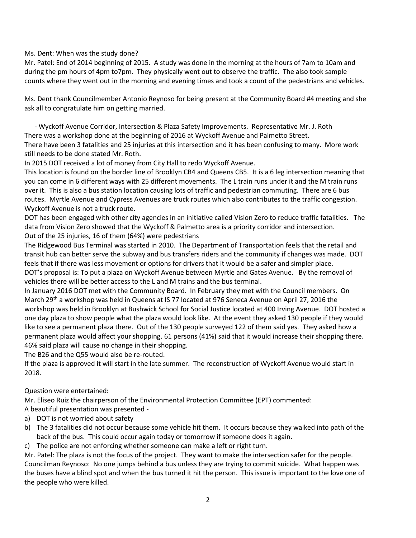Ms. Dent: When was the study done?

Mr. Patel: End of 2014 beginning of 2015. A study was done in the morning at the hours of 7am to 10am and during the pm hours of 4pm to7pm. They physically went out to observe the traffic. The also took sample counts where they went out in the morning and evening times and took a count of the pedestrians and vehicles.

Ms. Dent thank Councilmember Antonio Reynoso for being present at the Community Board #4 meeting and she ask all to congratulate him on getting married.

 - Wyckoff Avenue Corridor, Intersection & Plaza Safety Improvements. Representative Mr. J. Roth There was a workshop done at the beginning of 2016 at Wyckoff Avenue and Palmetto Street.

There have been 3 fatalities and 25 injuries at this intersection and it has been confusing to many. More work still needs to be done stated Mr. Roth.

In 2015 DOT received a lot of money from City Hall to redo Wyckoff Avenue.

This location is found on the border line of Brooklyn CB4 and Queens CB5. It is a 6 leg intersection meaning that you can come in 6 different ways with 25 different movements. The L train runs under it and the M train runs over it. This is also a bus station location causing lots of traffic and pedestrian commuting. There are 6 bus routes. Myrtle Avenue and Cypress Avenues are truck routes which also contributes to the traffic congestion. Wyckoff Avenue is not a truck route.

DOT has been engaged with other city agencies in an initiative called Vision Zero to reduce traffic fatalities. The data from Vision Zero showed that the Wyckoff & Palmetto area is a priority corridor and intersection. Out of the 25 injuries, 16 of them (64%) were pedestrians

The Ridgewood Bus Terminal was started in 2010. The Department of Transportation feels that the retail and transit hub can better serve the subway and bus transfers riders and the community if changes was made. DOT feels that if there was less movement or options for drivers that it would be a safer and simpler place. DOT's proposal is: To put a plaza on Wyckoff Avenue between Myrtle and Gates Avenue. By the removal of vehicles there will be better access to the L and M trains and the bus terminal.

In January 2016 DOT met with the Community Board. In February they met with the Council members. On March 29th a workshop was held in Queens at IS 77 located at 976 Seneca Avenue on April 27, 2016 the workshop was held in Brooklyn at Bushwick School for Social Justice located at 400 Irving Avenue. DOT hosted a one day plaza to show people what the plaza would look like. At the event they asked 130 people if they would like to see a permanent plaza there. Out of the 130 people surveyed 122 of them said yes. They asked how a permanent plaza would affect your shopping. 61 persons (41%) said that it would increase their shopping there. 46% said plaza will cause no change in their shopping.

The B26 and the Q55 would also be re-routed.

If the plaza is approved it will start in the late summer. The reconstruction of Wyckoff Avenue would start in 2018.

# Question were entertained:

Mr. Eliseo Ruiz the chairperson of the Environmental Protection Committee (EPT) commented:

- A beautiful presentation was presented -
- a) DOT is not worried about safety
- b) The 3 fatalities did not occur because some vehicle hit them. It occurs because they walked into path of the back of the bus. This could occur again today or tomorrow if someone does it again.
- c) The police are not enforcing whether someone can make a left or right turn.

Mr. Patel: The plaza is not the focus of the project. They want to make the intersection safer for the people. Councilman Reynoso: No one jumps behind a bus unless they are trying to commit suicide. What happen was the buses have a blind spot and when the bus turned it hit the person. This issue is important to the love one of the people who were killed.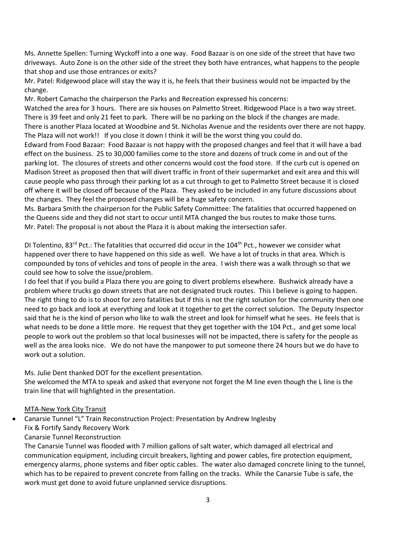Ms. Annette Spellen: Turning Wyckoff into a one way. Food Bazaar is on one side of the street that have two driveways. Auto Zone is on the other side of the street they both have entrances, what happens to the people that shop and use those entrances or exits?

Mr. Patel: Ridgewood place will stay the way it is, he feels that their business would not be impacted by the change.

Mr. Robert Camacho the chairperson the Parks and Recreation expressed his concerns:

Watched the area for 3 hours. There are six houses on Palmetto Street. Ridgewood Place is a two way street. There is 39 feet and only 21 feet to park. There will be no parking on the block if the changes are made. There is another Plaza located at Woodbine and St. Nicholas Avenue and the residents over there are not happy. The Plaza will not work!! If you close it down I think it will be the worst thing you could do.

Edward from Food Bazaar: Food Bazaar is not happy with the proposed changes and feel that it will have a bad effect on the business. 25 to 30,000 families come to the store and dozens of truck come in and out of the parking lot. The closures of streets and other concerns would cost the food store. If the curb cut is opened on Madison Street as proposed then that will divert traffic in front of their supermarket and exit area and this will cause people who pass through their parking lot as a cut through to get to Palmetto Street because it is closed off where it will be closed off because of the Plaza. They asked to be included in any future discussions about the changes. They feel the proposed changes will be a huge safety concern.

Ms. Barbara Smith the chairperson for the Public Safety Committee: The fatalities that occurred happened on the Queens side and they did not start to occur until MTA changed the bus routes to make those turns. Mr. Patel: The proposal is not about the Plaza it is about making the intersection safer.

DI Tolentino, 83<sup>rd</sup> Pct.: The fatalities that occurred did occur in the 104<sup>th</sup> Pct., however we consider what happened over there to have happened on this side as well. We have a lot of trucks in that area. Which is compounded by tons of vehicles and tons of people in the area. I wish there was a walk through so that we could see how to solve the issue/problem.

I do feel that if you build a Plaza there you are going to divert problems elsewhere. Bushwick already have a problem where trucks go down streets that are not designated truck routes. This I believe is going to happen. The right thing to do is to shoot for zero fatalities but if this is not the right solution for the community then one need to go back and look at everything and look at it together to get the correct solution. The Deputy Inspector said that he is the kind of person who like to walk the street and look for himself what he sees. He feels that is what needs to be done a little more. He request that they get together with the 104 Pct., and get some local people to work out the problem so that local businesses will not be impacted, there is safety for the people as well as the area looks nice. We do not have the manpower to put someone there 24 hours but we do have to work out a solution.

Ms. Julie Dent thanked DOT for the excellent presentation.

She welcomed the MTA to speak and asked that everyone not forget the M line even though the L line is the train line that will highlighted in the presentation.

### MTA-New York City Transit

- Canarsie Tunnel "L" Train Reconstruction Project: Presentation by Andrew Inglesby
	- Fix & Fortify Sandy Recovery Work

### Canarsie Tunnel Reconstruction

The Canarsie Tunnel was flooded with 7 million gallons of salt water, which damaged all electrical and communication equipment, including circuit breakers, lighting and power cables, fire protection equipment, emergency alarms, phone systems and fiber optic cables. The water also damaged concrete lining to the tunnel, which has to be repaired to prevent concrete from falling on the tracks. While the Canarsie Tube is safe, the work must get done to avoid future unplanned service disruptions.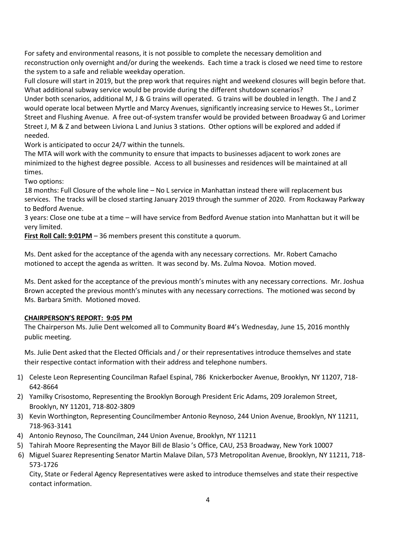For safety and environmental reasons, it is not possible to complete the necessary demolition and reconstruction only overnight and/or during the weekends. Each time a track is closed we need time to restore the system to a safe and reliable weekday operation.

Full closure will start in 2019, but the prep work that requires night and weekend closures will begin before that. What additional subway service would be provide during the different shutdown scenarios?

Under both scenarios, additional M, J & G trains will operated. G trains will be doubled in length. The J and Z would operate local between Myrtle and Marcy Avenues, significantly increasing service to Hewes St., Lorimer Street and Flushing Avenue. A free out-of-system transfer would be provided between Broadway G and Lorimer Street J, M & Z and between Liviona L and Junius 3 stations. Other options will be explored and added if needed.

Work is anticipated to occur 24/7 within the tunnels.

The MTA will work with the community to ensure that impacts to businesses adjacent to work zones are minimized to the highest degree possible. Access to all businesses and residences will be maintained at all times.

Two options:

18 months: Full Closure of the whole line – No L service in Manhattan instead there will replacement bus services. The tracks will be closed starting January 2019 through the summer of 2020. From Rockaway Parkway to Bedford Avenue.

3 years: Close one tube at a time – will have service from Bedford Avenue station into Manhattan but it will be very limited.

**First Roll Call: 9:01PM** – 36 members present this constitute a quorum.

Ms. Dent asked for the acceptance of the agenda with any necessary corrections. Mr. Robert Camacho motioned to accept the agenda as written. It was second by. Ms. Zulma Novoa. Motion moved.

Ms. Dent asked for the acceptance of the previous month's minutes with any necessary corrections. Mr. Joshua Brown accepted the previous month's minutes with any necessary corrections. The motioned was second by Ms. Barbara Smith. Motioned moved.

# **CHAIRPERSON'S REPORT: 9:05 PM**

The Chairperson Ms. Julie Dent welcomed all to Community Board #4's Wednesday, June 15, 2016 monthly public meeting.

Ms. Julie Dent asked that the Elected Officials and / or their representatives introduce themselves and state their respective contact information with their address and telephone numbers.

- 1) Celeste Leon Representing Councilman Rafael Espinal, 786 Knickerbocker Avenue, Brooklyn, NY 11207, 718- 642-8664
- 2) Yamilky Crisostomo, Representing the Brooklyn Borough President Eric Adams, 209 Joralemon Street, Brooklyn, NY 11201, 718-802-3809
- 3) Kevin Worthington, Representing Councilmember Antonio Reynoso, 244 Union Avenue, Brooklyn, NY 11211, 718-963-3141
- 4) Antonio Reynoso, The Councilman, 244 Union Avenue, Brooklyn, NY 11211
- 5) Tahirah Moore Representing the Mayor Bill de Blasio 's Office, CAU, 253 Broadway, New York 10007
- 6) Miguel Suarez Representing Senator Martin Malave Dilan, 573 Metropolitan Avenue, Brooklyn, NY 11211, 718- 573-1726

City, State or Federal Agency Representatives were asked to introduce themselves and state their respective contact information.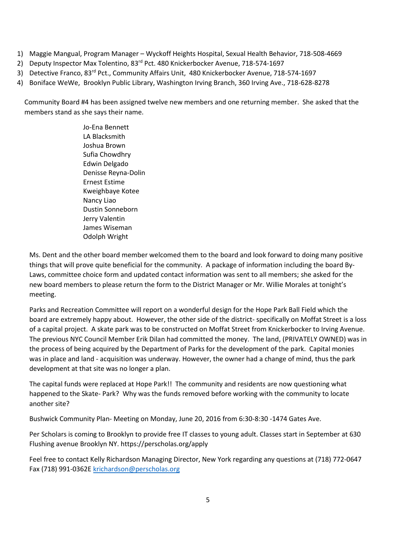- 1) Maggie Mangual, Program Manager Wyckoff Heights Hospital, Sexual Health Behavior, 718-508-4669
- 2) Deputy Inspector Max Tolentino, 83<sup>rd</sup> Pct. 480 Knickerbocker Avenue, 718-574-1697
- 3) Detective Franco, 83rd Pct., Community Affairs Unit, 480 Knickerbocker Avenue, 718-574-1697
- 4) Boniface WeWe, Brooklyn Public Library, Washington Irving Branch, 360 Irving Ave., 718-628-8278

Community Board #4 has been assigned twelve new members and one returning member. She asked that the members stand as she says their name.

> Jo-Ena Bennett LA Blacksmith Joshua Brown Sufia Chowdhry Edwin Delgado Denisse Reyna-Dolin Ernest Estime Kweighbaye Kotee Nancy Liao Dustin Sonneborn Jerry Valentin James Wiseman Odolph Wright

Ms. Dent and the other board member welcomed them to the board and look forward to doing many positive things that will prove quite beneficial for the community. A package of information including the board By-Laws, committee choice form and updated contact information was sent to all members; she asked for the new board members to please return the form to the District Manager or Mr. Willie Morales at tonight's meeting.

Parks and Recreation Committee will report on a wonderful design for the Hope Park Ball Field which the board are extremely happy about. However, the other side of the district- specifically on Moffat Street is a loss of a capital project. A skate park was to be constructed on Moffat Street from Knickerbocker to Irving Avenue. The previous NYC Council Member Erik Dilan had committed the money. The land, (PRIVATELY OWNED) was in the process of being acquired by the Department of Parks for the development of the park. Capital monies was in place and land - acquisition was underway. However, the owner had a change of mind, thus the park development at that site was no longer a plan.

The capital funds were replaced at Hope Park!! The community and residents are now questioning what happened to the Skate- Park? Why was the funds removed before working with the community to locate another site?

Bushwick Community Plan- Meeting on Monday, June 20, 2016 from 6:30-8:30 -1474 Gates Ave.

Per Scholars is coming to Brooklyn to provide free IT classes to young adult. Classes start in September at 630 Flushing avenue Brooklyn NY. https://perscholas.org/apply

Feel free to contact Kelly Richardson Managing Director, New York regarding any questions at (718) 772-0647 Fax (718) 991-0362E [krichardson@perscholas.org](mailto:krichardson@perscholas.org)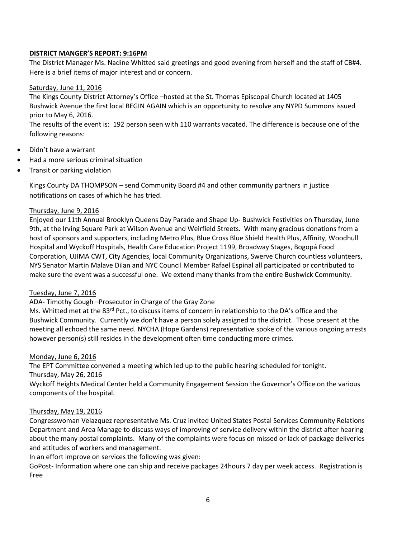### **DISTRICT MANGER'S REPORT: 9:16PM**

The District Manager Ms. Nadine Whitted said greetings and good evening from herself and the staff of CB#4. Here is a brief items of major interest and or concern.

### Saturday, June 11, 2016

The Kings County District Attorney's Office –hosted at the St. Thomas Episcopal Church located at 1405 Bushwick Avenue the first local BEGIN AGAIN which is an opportunity to resolve any NYPD Summons issued prior to May 6, 2016.

The results of the event is: 192 person seen with 110 warrants vacated. The difference is because one of the following reasons:

- Didn't have a warrant
- Had a more serious criminal situation
- Transit or parking violation

Kings County DA THOMPSON – send Community Board #4 and other community partners in justice notifications on cases of which he has tried.

### Thursday, June 9, 2016

Enjoyed our 11th Annual Brooklyn Queens Day Parade and Shape Up- Bushwick Festivities on Thursday, June 9th, at the Irving Square Park at Wilson Avenue and Weirfield Streets. With many gracious donations from a host of sponsors and supporters, including Metro Plus, Blue Cross Blue Shield Health Plus, Affinity, Woodhull Hospital and Wyckoff Hospitals, Health Care Education Project 1199, Broadway Stages, Bogopá Food Corporation, UJIMA CWT, City Agencies, local Community Organizations, Swerve Church countless volunteers, NYS Senator Martin Malave Dilan and NYC Council Member Rafael Espinal all participated or contributed to make sure the event was a successful one. We extend many thanks from the entire Bushwick Community.

### Tuesday, June 7, 2016

### ADA- Timothy Gough –Prosecutor in Charge of the Gray Zone

Ms. Whitted met at the  $83^{rd}$  Pct., to discuss items of concern in relationship to the DA's office and the Bushwick Community. Currently we don't have a person solely assigned to the district. Those present at the meeting all echoed the same need. NYCHA (Hope Gardens) representative spoke of the various ongoing arrests however person(s) still resides in the development often time conducting more crimes.

### Monday, June 6, 2016

The EPT Committee convened a meeting which led up to the public hearing scheduled for tonight. Thursday, May 26, 2016

Wyckoff Heights Medical Center held a Community Engagement Session the Governor's Office on the various components of the hospital.

### Thursday, May 19, 2016

Congresswoman Velazquez representative Ms. Cruz invited United States Postal Services Community Relations Department and Area Manage to discuss ways of improving of service delivery within the district after hearing about the many postal complaints. Many of the complaints were focus on missed or lack of package deliveries and attitudes of workers and management.

In an effort improve on services the following was given:

GoPost- Information where one can ship and receive packages 24hours 7 day per week access. Registration is Free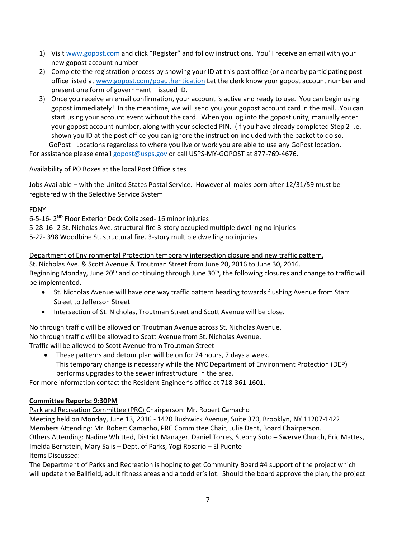- 1) Visit [www.gopost.com](http://www.gopost.com/) and click "Register" and follow instructions. You'll receive an email with your new gopost account number
- 2) Complete the registration process by showing your ID at this post office (or a nearby participating post office listed a[t www.gopost.com/poauthentication](http://www.gopost.com/poauthentication) Let the clerk know your gopost account number and present one form of government – issued ID.
- 3) Once you receive an email confirmation, your account is active and ready to use. You can begin using gopost immediately! In the meantime, we will send you your gopost account card in the mail…You can start using your account event without the card. When you log into the gopost unity, manually enter your gopost account number, along with your selected PIN. (If you have already completed Step 2-i.e. shown you ID at the post office you can ignore the instruction included with the packet to do so. GoPost –Locations regardless to where you live or work you are able to use any GoPost location.

For assistance please email [gopost@usps.gov](mailto:gopost@usps.gov) or call USPS-MY-GOPOST at 877-769-4676.

Availability of PO Boxes at the local Post Office sites

Jobs Available – with the United States Postal Service. However all males born after 12/31/59 must be registered with the Selective Service System

# FDNY

6-5-16- 2<sup>ND</sup> Floor Exterior Deck Collapsed- 16 minor injuries 5-28-16- 2 St. Nicholas Ave. structural fire 3-story occupied multiple dwelling no injuries 5-22- 398 Woodbine St. structural fire. 3-story multiple dwelling no injuries

Department of Environmental Protection temporary intersection closure and new traffic pattern.

St. Nicholas Ave. & Scott Avenue & Troutman Street from June 20, 2016 to June 30, 2016. Beginning Monday, June 20<sup>th</sup> and continuing through June 30<sup>th</sup>, the following closures and change to traffic will be implemented.

- St. Nicholas Avenue will have one way traffic pattern heading towards flushing Avenue from Starr Street to Jefferson Street
- **•** Intersection of St. Nicholas, Troutman Street and Scott Avenue will be close.

No through traffic will be allowed on Troutman Avenue across St. Nicholas Avenue. No through traffic will be allowed to Scott Avenue from St. Nicholas Avenue. Traffic will be allowed to Scott Avenue from Troutman Street

 These patterns and detour plan will be on for 24 hours, 7 days a week. This temporary change is necessary while the NYC Department of Environment Protection (DEP) performs upgrades to the sewer infrastructure in the area.

For more information contact the Resident Engineer's office at 718-361-1601.

# **Committee Reports: 9:30PM**

Park and Recreation Committee (PRC) Chairperson: Mr. Robert Camacho

Meeting held on Monday, June 13, 2016 - 1420 Bushwick Avenue, Suite 370, Brooklyn, NY 11207-1422 Members Attending: Mr. Robert Camacho, PRC Committee Chair, Julie Dent, Board Chairperson. Others Attending: Nadine Whitted, District Manager, Daniel Torres, Stephy Soto – Swerve Church, Eric Mattes, Imelda Bernstein, Mary Salis – Dept. of Parks, Yogi Rosario – El Puente Items Discussed:

The Department of Parks and Recreation is hoping to get Community Board #4 support of the project which will update the Ballfield, adult fitness areas and a toddler's lot. Should the board approve the plan, the project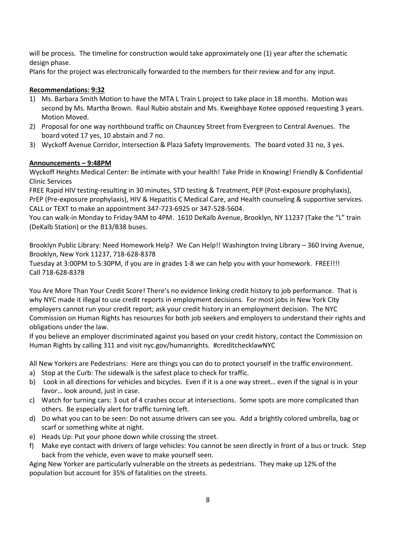will be process. The timeline for construction would take approximately one (1) year after the schematic design phase.

Plans for the project was electronically forwarded to the members for their review and for any input.

## **Recommendations: 9:32**

- 1) Ms. Barbara Smith Motion to have the MTA L Train L project to take place in 18 months. Motion was second by Ms. Martha Brown. Raul Rubio abstain and Ms. Kweighbaye Kotee opposed requesting 3 years. Motion Moved.
- 2) Proposal for one way northbound traffic on Chauncey Street from Evergreen to Central Avenues. The board voted 17 yes, 10 abstain and 7 no.
- 3) Wyckoff Avenue Corridor, Intersection & Plaza Safety Improvements. The board voted 31 no, 3 yes.

### **Announcements – 9:48PM**

Wyckoff Heights Medical Center: Be intimate with your health! Take Pride in Knowing! Friendly & Confidential Clinic Services

FREE Rapid HIV testing-resulting in 30 minutes, STD testing & Treatment, PEP (Post-exposure prophylaxis), PrEP (Pre-exposure prophylaxis), HIV & Hepatitis C Medical Care, and Health counseling & supportive services. CALL or TEXT to make an appointment 347-723-6925 or 347-528-5604.

You can walk-in Monday to Friday 9AM to 4PM. 1610 DeKalb Avenue, Brooklyn, NY 11237 (Take the "L" train (DeKalb Station) or the B13/B38 buses.

Brooklyn Public Library: Need Homework Help? We Can Help!! Washington Irving Library – 360 Irving Avenue, Brooklyn, New York 11237, 718-628-8378

Tuesday at 3:00PM to 5:30PM, if you are in grades 1-8 we can help you with your homework. FREE!!!! Call 718-628-8378

You Are More Than Your Credit Score! There's no evidence linking credit history to job performance. That is why NYC made it illegal to use credit reports in employment decisions. For most jobs in New York City employers cannot run your credit report; ask your credit history in an employment decision. The NYC Commission on Human Rights has resources for both job seekers and employers to understand their rights and obligations under the law.

If you believe an employer discriminated against you based on your credit history, contact the Commission on Human Rights by calling 311 and visit nyc.gov/humanrights. #creditchecklawNYC

All New Yorkers are Pedestrians: Here are things you can do to protect yourself in the traffic environment.

- a) Stop at the Curb: The sidewalk is the safest place to check for traffic.
- b) Look in all directions for vehicles and bicycles. Even if it is a one way street… even if the signal is in your favor… look around, just in case.
- c) Watch for turning cars: 3 out of 4 crashes occur at intersections. Some spots are more complicated than others. Be especially alert for traffic turning left.
- d) Do what you can to be seen: Do not assume drivers can see you. Add a brightly colored umbrella, bag or scarf or something white at night.
- e) Heads Up: Put your phone down while crossing the street.
- f) Make eye contact with drivers of large vehicles: You cannot be seen directly in front of a bus or truck. Step back from the vehicle, even wave to make yourself seen.

Aging New Yorker are particularly vulnerable on the streets as pedestrians. They make up 12% of the population but account for 35% of fatalities on the streets.